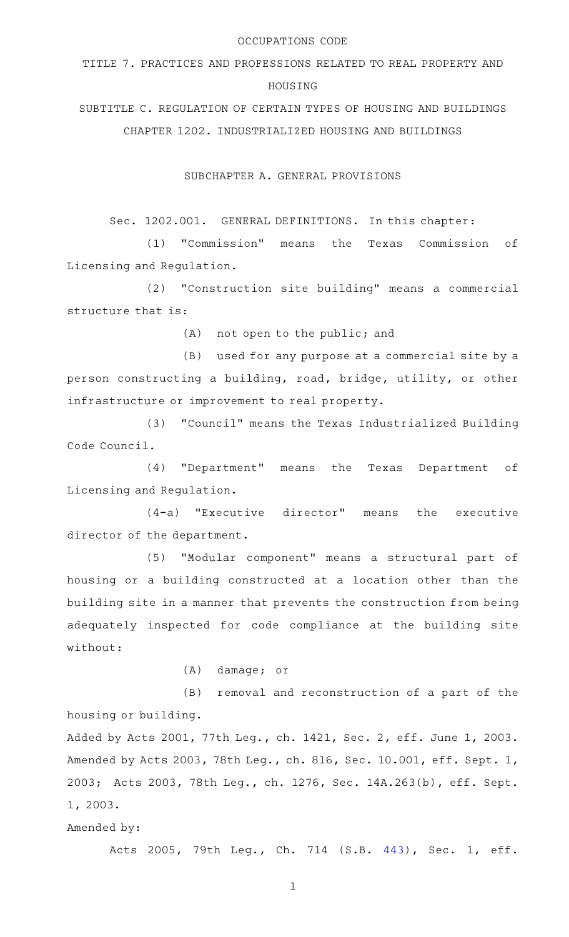#### OCCUPATIONS CODE

TITLE 7. PRACTICES AND PROFESSIONS RELATED TO REAL PROPERTY AND HOUSING

SUBTITLE C. REGULATION OF CERTAIN TYPES OF HOUSING AND BUILDINGS CHAPTER 1202. INDUSTRIALIZED HOUSING AND BUILDINGS

SUBCHAPTER A. GENERAL PROVISIONS

Sec. 1202.001. GENERAL DEFINITIONS. In this chapter:

(1) "Commission" means the Texas Commission of Licensing and Regulation.

(2) "Construction site building" means a commercial structure that is:

(A) not open to the public; and

(B) used for any purpose at a commercial site by a person constructing a building, road, bridge, utility, or other infrastructure or improvement to real property.

(3) "Council" means the Texas Industrialized Building Code Council.

(4) "Department" means the Texas Department of Licensing and Regulation.

 $(4-a)$  "Executive director" means the executive director of the department.

(5) "Modular component" means a structural part of housing or a building constructed at a location other than the building site in a manner that prevents the construction from being adequately inspected for code compliance at the building site without:

 $(A)$  damage; or

(B) removal and reconstruction of a part of the housing or building.

Added by Acts 2001, 77th Leg., ch. 1421, Sec. 2, eff. June 1, 2003. Amended by Acts 2003, 78th Leg., ch. 816, Sec. 10.001, eff. Sept. 1, 2003; Acts 2003, 78th Leg., ch. 1276, Sec. 14A.263(b), eff. Sept. 1, 2003.

Amended by:

Acts 2005, 79th Leg., Ch. 714 (S.B. [443\)](http://www.legis.state.tx.us/tlodocs/79R/billtext/html/SB00443F.HTM), Sec. 1, eff.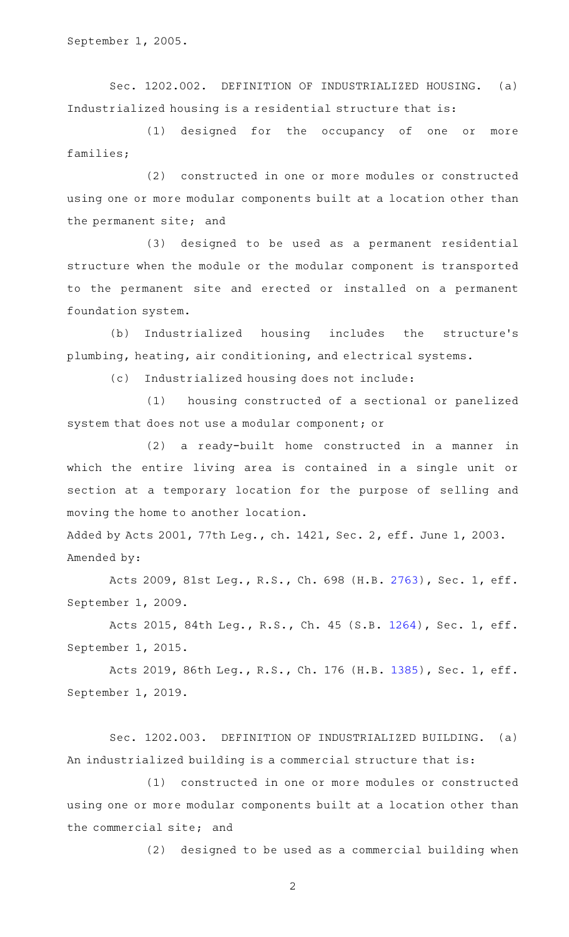September 1, 2005.

Sec. 1202.002. DEFINITION OF INDUSTRIALIZED HOUSING. (a) Industrialized housing is a residential structure that is:

(1) designed for the occupancy of one or more families;

(2) constructed in one or more modules or constructed using one or more modular components built at a location other than the permanent site; and

(3) designed to be used as a permanent residential structure when the module or the modular component is transported to the permanent site and erected or installed on a permanent foundation system.

(b) Industrialized housing includes the structure's plumbing, heating, air conditioning, and electrical systems.

(c) Industrialized housing does not include:

(1) housing constructed of a sectional or panelized system that does not use a modular component; or

(2) a ready-built home constructed in a manner in which the entire living area is contained in a single unit or section at a temporary location for the purpose of selling and moving the home to another location.

Added by Acts 2001, 77th Leg., ch. 1421, Sec. 2, eff. June 1, 2003. Amended by:

Acts 2009, 81st Leg., R.S., Ch. 698 (H.B. [2763](http://www.legis.state.tx.us/tlodocs/81R/billtext/html/HB02763F.HTM)), Sec. 1, eff. September 1, 2009.

Acts 2015, 84th Leg., R.S., Ch. 45 (S.B. [1264](http://www.legis.state.tx.us/tlodocs/84R/billtext/html/SB01264F.HTM)), Sec. 1, eff. September 1, 2015.

Acts 2019, 86th Leg., R.S., Ch. 176 (H.B. [1385](http://www.legis.state.tx.us/tlodocs/86R/billtext/html/HB01385F.HTM)), Sec. 1, eff. September 1, 2019.

Sec. 1202.003. DEFINITION OF INDUSTRIALIZED BUILDING. (a) An industrialized building is a commercial structure that is:

(1) constructed in one or more modules or constructed using one or more modular components built at a location other than the commercial site; and

 $(2)$  designed to be used as a commercial building when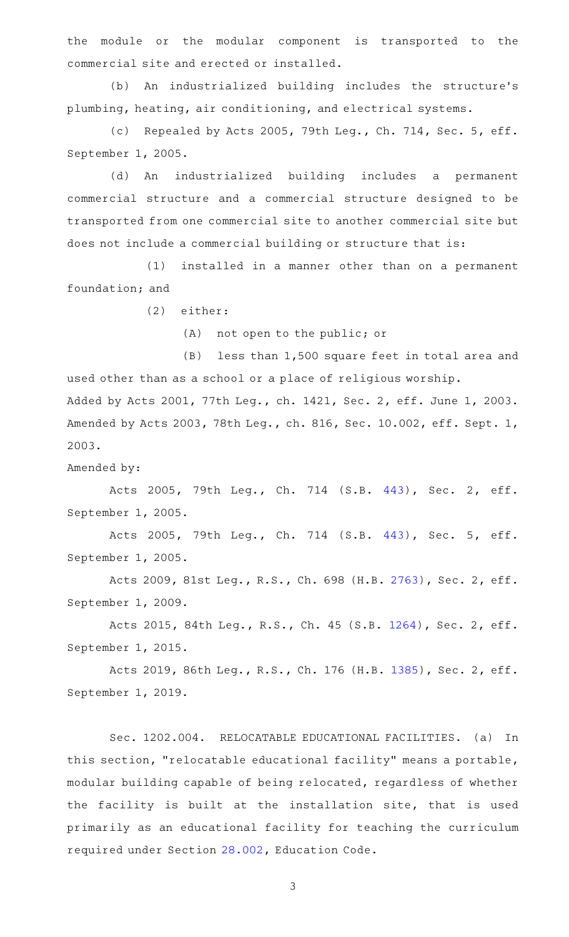the module or the modular component is transported to the commercial site and erected or installed.

(b) An industrialized building includes the structure's plumbing, heating, air conditioning, and electrical systems.

(c) Repealed by Acts 2005, 79th Leg., Ch. 714, Sec. 5, eff. September 1, 2005.

(d) An industrialized building includes a permanent commercial structure and a commercial structure designed to be transported from one commercial site to another commercial site but does not include a commercial building or structure that is:

(1) installed in a manner other than on a permanent foundation; and

(2) either:

(A) not open to the public; or

 $(B)$  less than 1,500 square feet in total area and used other than as a school or a place of religious worship. Added by Acts 2001, 77th Leg., ch. 1421, Sec. 2, eff. June 1, 2003. Amended by Acts 2003, 78th Leg., ch. 816, Sec. 10.002, eff. Sept. 1, 2003.

Amended by:

Acts 2005, 79th Leg., Ch. 714 (S.B. [443\)](http://www.legis.state.tx.us/tlodocs/79R/billtext/html/SB00443F.HTM), Sec. 2, eff. September 1, 2005.

Acts 2005, 79th Leg., Ch. 714 (S.B. [443\)](http://www.legis.state.tx.us/tlodocs/79R/billtext/html/SB00443F.HTM), Sec. 5, eff. September 1, 2005.

Acts 2009, 81st Leg., R.S., Ch. 698 (H.B. [2763](http://www.legis.state.tx.us/tlodocs/81R/billtext/html/HB02763F.HTM)), Sec. 2, eff. September 1, 2009.

Acts 2015, 84th Leg., R.S., Ch. 45 (S.B. [1264](http://www.legis.state.tx.us/tlodocs/84R/billtext/html/SB01264F.HTM)), Sec. 2, eff. September 1, 2015.

Acts 2019, 86th Leg., R.S., Ch. 176 (H.B. [1385](http://www.legis.state.tx.us/tlodocs/86R/billtext/html/HB01385F.HTM)), Sec. 2, eff. September 1, 2019.

Sec. 1202.004. RELOCATABLE EDUCATIONAL FACILITIES. (a) In this section, "relocatable educational facility" means a portable, modular building capable of being relocated, regardless of whether the facility is built at the installation site, that is used primarily as an educational facility for teaching the curriculum required under Section [28.002](http://www.statutes.legis.state.tx.us/GetStatute.aspx?Code=ED&Value=28.002), Education Code.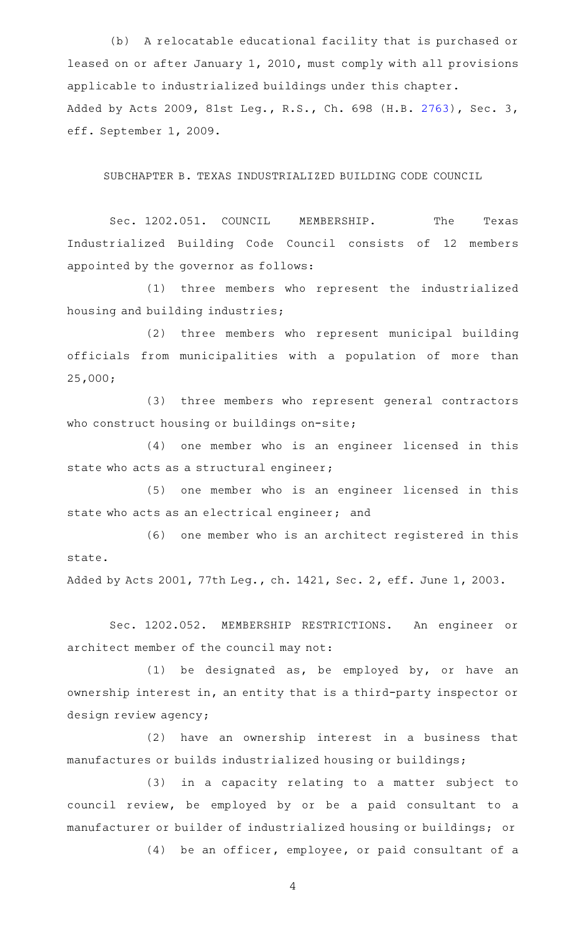(b) A relocatable educational facility that is purchased or leased on or after January 1, 2010, must comply with all provisions applicable to industrialized buildings under this chapter. Added by Acts 2009, 81st Leg., R.S., Ch. 698 (H.B. [2763](http://www.legis.state.tx.us/tlodocs/81R/billtext/html/HB02763F.HTM)), Sec. 3, eff. September 1, 2009.

SUBCHAPTER B. TEXAS INDUSTRIALIZED BUILDING CODE COUNCIL

Sec. 1202.051. COUNCIL MEMBERSHIP. The Texas Industrialized Building Code Council consists of 12 members appointed by the governor as follows:

(1) three members who represent the industrialized housing and building industries;

(2) three members who represent municipal building officials from municipalities with a population of more than 25,000;

(3) three members who represent general contractors who construct housing or buildings on-site;

(4) one member who is an engineer licensed in this state who acts as a structural engineer;

(5) one member who is an engineer licensed in this state who acts as an electrical engineer; and

(6) one member who is an architect registered in this state.

Added by Acts 2001, 77th Leg., ch. 1421, Sec. 2, eff. June 1, 2003.

Sec. 1202.052. MEMBERSHIP RESTRICTIONS. An engineer or architect member of the council may not:

(1) be designated as, be employed by, or have an ownership interest in, an entity that is a third-party inspector or design review agency;

(2) have an ownership interest in a business that manufactures or builds industrialized housing or buildings;

(3) in a capacity relating to a matter subject to council review, be employed by or be a paid consultant to a manufacturer or builder of industrialized housing or buildings; or

(4) be an officer, employee, or paid consultant of a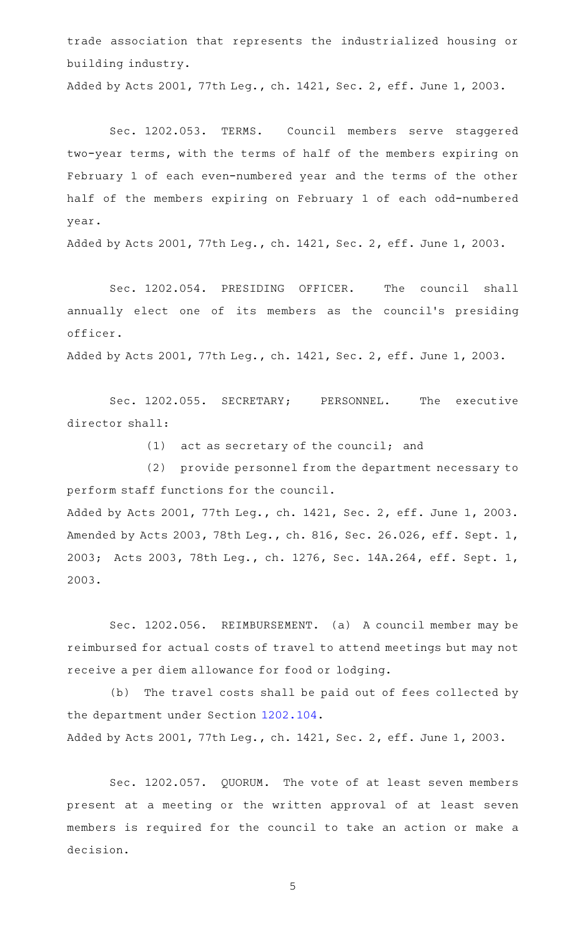trade association that represents the industrialized housing or building industry.

Added by Acts 2001, 77th Leg., ch. 1421, Sec. 2, eff. June 1, 2003.

Sec. 1202.053. TERMS. Council members serve staggered two-year terms, with the terms of half of the members expiring on February 1 of each even-numbered year and the terms of the other half of the members expiring on February 1 of each odd-numbered year.

Added by Acts 2001, 77th Leg., ch. 1421, Sec. 2, eff. June 1, 2003.

Sec. 1202.054. PRESIDING OFFICER. The council shall annually elect one of its members as the council's presiding officer.

Added by Acts 2001, 77th Leg., ch. 1421, Sec. 2, eff. June 1, 2003.

Sec. 1202.055. SECRETARY; PERSONNEL. The executive director shall:

 $(1)$  act as secretary of the council; and

(2) provide personnel from the department necessary to perform staff functions for the council.

Added by Acts 2001, 77th Leg., ch. 1421, Sec. 2, eff. June 1, 2003. Amended by Acts 2003, 78th Leg., ch. 816, Sec. 26.026, eff. Sept. 1, 2003; Acts 2003, 78th Leg., ch. 1276, Sec. 14A.264, eff. Sept. 1, 2003.

Sec. 1202.056. REIMBURSEMENT. (a) A council member may be reimbursed for actual costs of travel to attend meetings but may not receive a per diem allowance for food or lodging.

(b) The travel costs shall be paid out of fees collected by the department under Section [1202.104](http://www.statutes.legis.state.tx.us/GetStatute.aspx?Code=OC&Value=1202.104).

Added by Acts 2001, 77th Leg., ch. 1421, Sec. 2, eff. June 1, 2003.

Sec. 1202.057. QUORUM. The vote of at least seven members present at a meeting or the written approval of at least seven members is required for the council to take an action or make a decision.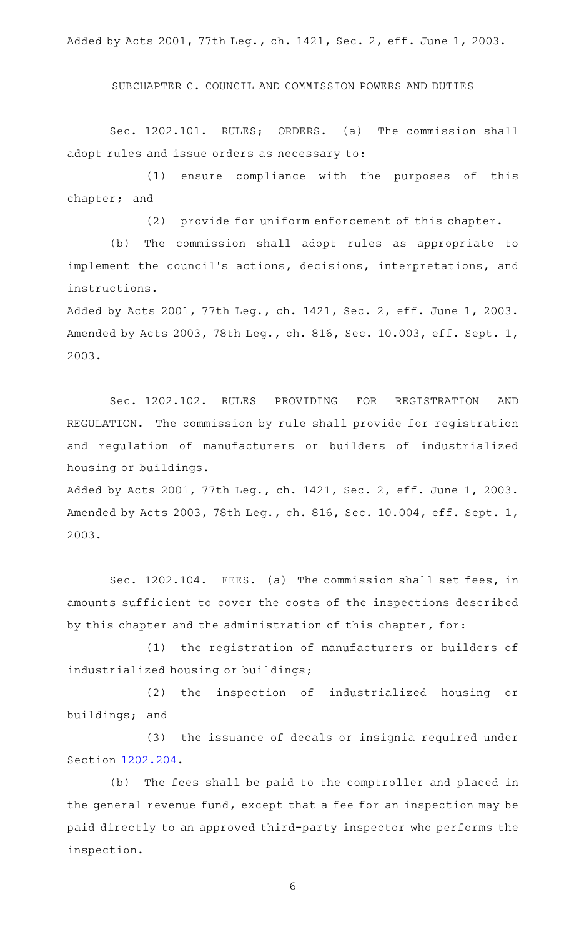Added by Acts 2001, 77th Leg., ch. 1421, Sec. 2, eff. June 1, 2003.

SUBCHAPTER C. COUNCIL AND COMMISSION POWERS AND DUTIES

Sec. 1202.101. RULES; ORDERS. (a) The commission shall adopt rules and issue orders as necessary to:

(1) ensure compliance with the purposes of this chapter; and

(2) provide for uniform enforcement of this chapter.

(b) The commission shall adopt rules as appropriate to implement the council 's actions, decisions, interpretations, and instructions.

Added by Acts 2001, 77th Leg., ch. 1421, Sec. 2, eff. June 1, 2003. Amended by Acts 2003, 78th Leg., ch. 816, Sec. 10.003, eff. Sept. 1, 2003.

Sec. 1202.102. RULES PROVIDING FOR REGISTRATION AND REGULATION. The commission by rule shall provide for registration and regulation of manufacturers or builders of industrialized housing or buildings.

Added by Acts 2001, 77th Leg., ch. 1421, Sec. 2, eff. June 1, 2003. Amended by Acts 2003, 78th Leg., ch. 816, Sec. 10.004, eff. Sept. 1, 2003.

Sec. 1202.104. FEES. (a) The commission shall set fees, in amounts sufficient to cover the costs of the inspections described by this chapter and the administration of this chapter, for:

(1) the registration of manufacturers or builders of industrialized housing or buildings;

(2) the inspection of industrialized housing or buildings; and

(3) the issuance of decals or insignia required under Section [1202.204](http://www.statutes.legis.state.tx.us/GetStatute.aspx?Code=OC&Value=1202.204).

(b) The fees shall be paid to the comptroller and placed in the general revenue fund, except that a fee for an inspection may be paid directly to an approved third-party inspector who performs the inspection.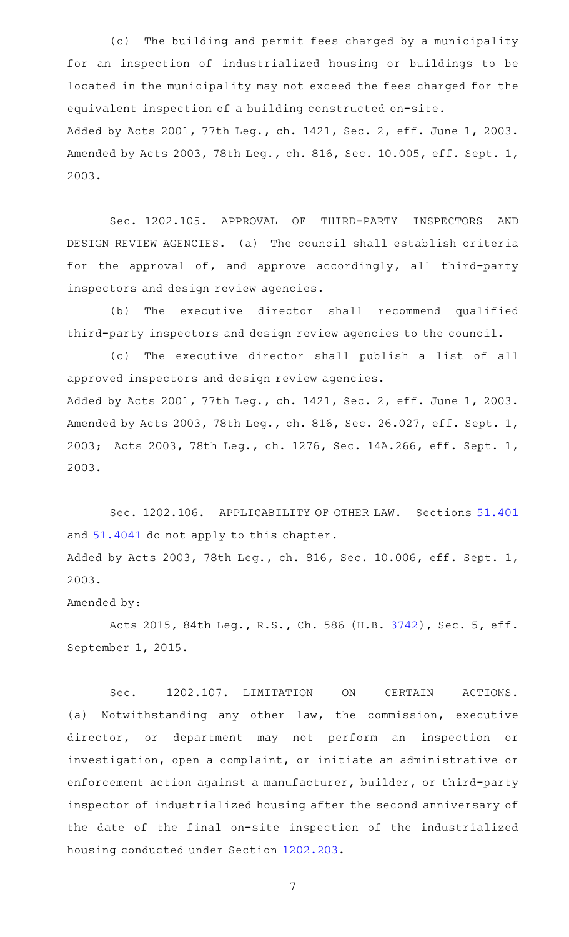(c) The building and permit fees charged by a municipality for an inspection of industrialized housing or buildings to be located in the municipality may not exceed the fees charged for the equivalent inspection of a building constructed on-site. Added by Acts 2001, 77th Leg., ch. 1421, Sec. 2, eff. June 1, 2003. Amended by Acts 2003, 78th Leg., ch. 816, Sec. 10.005, eff. Sept. 1, 2003.

Sec. 1202.105. APPROVAL OF THIRD-PARTY INSPECTORS AND DESIGN REVIEW AGENCIES. (a) The council shall establish criteria for the approval of, and approve accordingly, all third-party inspectors and design review agencies.

(b) The executive director shall recommend qualified third-party inspectors and design review agencies to the council.

(c) The executive director shall publish a list of all approved inspectors and design review agencies. Added by Acts 2001, 77th Leg., ch. 1421, Sec. 2, eff. June 1, 2003. Amended by Acts 2003, 78th Leg., ch. 816, Sec. 26.027, eff. Sept. 1, 2003; Acts 2003, 78th Leg., ch. 1276, Sec. 14A.266, eff. Sept. 1, 2003.

Sec. 1202.106. APPLICABILITY OF OTHER LAW. Sections [51.401](http://www.statutes.legis.state.tx.us/GetStatute.aspx?Code=OC&Value=51.401) and [51.4041](http://www.statutes.legis.state.tx.us/GetStatute.aspx?Code=OC&Value=51.4041) do not apply to this chapter. Added by Acts 2003, 78th Leg., ch. 816, Sec. 10.006, eff. Sept. 1, 2003.

### Amended by:

Acts 2015, 84th Leg., R.S., Ch. 586 (H.B. [3742](http://www.legis.state.tx.us/tlodocs/84R/billtext/html/HB03742F.HTM)), Sec. 5, eff. September 1, 2015.

Sec. 1202.107. LIMITATION ON CERTAIN ACTIONS. (a) Notwithstanding any other law, the commission, executive director, or department may not perform an inspection or investigation, open a complaint, or initiate an administrative or enforcement action against a manufacturer, builder, or third-party inspector of industrialized housing after the second anniversary of the date of the final on-site inspection of the industrialized housing conducted under Section [1202.203.](http://www.statutes.legis.state.tx.us/GetStatute.aspx?Code=OC&Value=1202.203)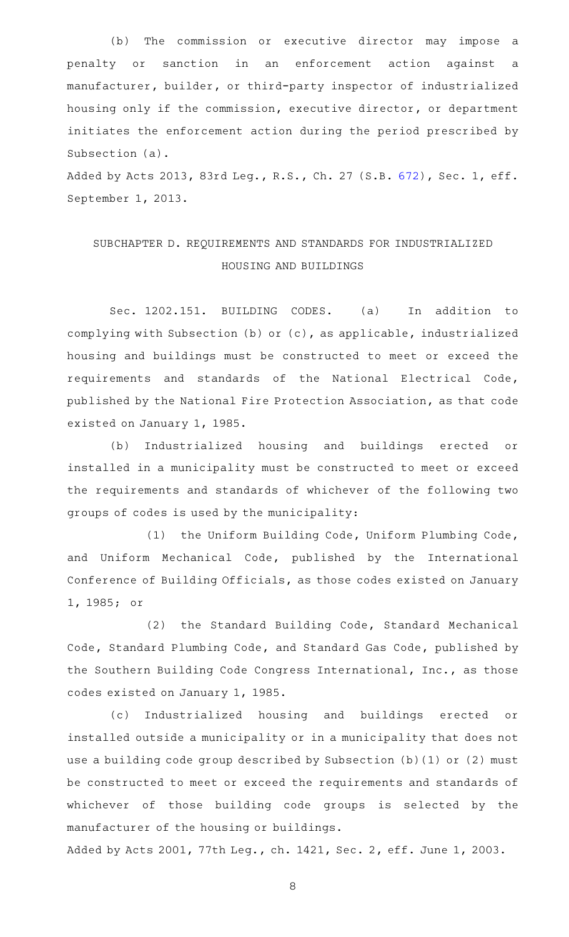(b) The commission or executive director may impose a penalty or sanction in an enforcement action against a manufacturer, builder, or third-party inspector of industrialized housing only if the commission, executive director, or department initiates the enforcement action during the period prescribed by Subsection (a).

Added by Acts 2013, 83rd Leg., R.S., Ch. 27 (S.B. [672](http://www.legis.state.tx.us/tlodocs/83R/billtext/html/SB00672F.HTM)), Sec. 1, eff. September 1, 2013.

# SUBCHAPTER D. REQUIREMENTS AND STANDARDS FOR INDUSTRIALIZED HOUSING AND BUILDINGS

Sec. 1202.151. BUILDING CODES. (a) In addition to complying with Subsection (b) or (c), as applicable, industrialized housing and buildings must be constructed to meet or exceed the requirements and standards of the National Electrical Code, published by the National Fire Protection Association, as that code existed on January 1, 1985.

(b) Industrialized housing and buildings erected or installed in a municipality must be constructed to meet or exceed the requirements and standards of whichever of the following two groups of codes is used by the municipality:

(1) the Uniform Building Code, Uniform Plumbing Code, and Uniform Mechanical Code, published by the International Conference of Building Officials, as those codes existed on January 1, 1985; or

(2) the Standard Building Code, Standard Mechanical Code, Standard Plumbing Code, and Standard Gas Code, published by the Southern Building Code Congress International, Inc., as those codes existed on January 1, 1985.

(c) Industrialized housing and buildings erected or installed outside a municipality or in a municipality that does not use a building code group described by Subsection (b)(1) or (2) must be constructed to meet or exceed the requirements and standards of whichever of those building code groups is selected by the manufacturer of the housing or buildings.

Added by Acts 2001, 77th Leg., ch. 1421, Sec. 2, eff. June 1, 2003.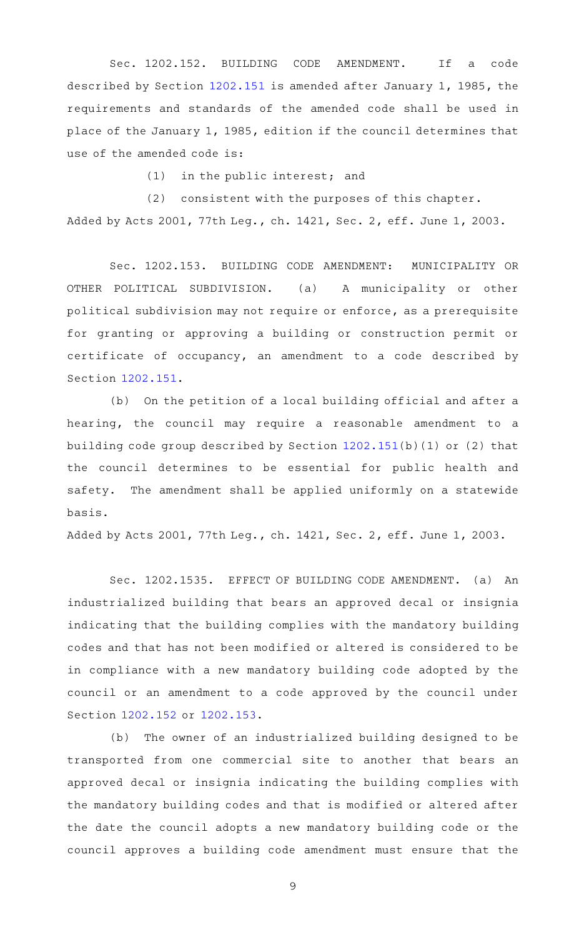Sec. 1202.152. BUILDING CODE AMENDMENT. If a code described by Section [1202.151](http://www.statutes.legis.state.tx.us/GetStatute.aspx?Code=OC&Value=1202.151) is amended after January 1, 1985, the requirements and standards of the amended code shall be used in place of the January 1, 1985, edition if the council determines that use of the amended code is:

 $(1)$  in the public interest; and

(2) consistent with the purposes of this chapter. Added by Acts 2001, 77th Leg., ch. 1421, Sec. 2, eff. June 1, 2003.

Sec. 1202.153. BUILDING CODE AMENDMENT: MUNICIPALITY OR OTHER POLITICAL SUBDIVISION. (a) A municipality or other political subdivision may not require or enforce, as a prerequisite for granting or approving a building or construction permit or certificate of occupancy, an amendment to a code described by Section [1202.151](http://www.statutes.legis.state.tx.us/GetStatute.aspx?Code=OC&Value=1202.151).

(b) On the petition of a local building official and after a hearing, the council may require a reasonable amendment to a building code group described by Section [1202.151\(](http://www.statutes.legis.state.tx.us/GetStatute.aspx?Code=OC&Value=1202.151)b)(1) or (2) that the council determines to be essential for public health and safety. The amendment shall be applied uniformly on a statewide basis.

Added by Acts 2001, 77th Leg., ch. 1421, Sec. 2, eff. June 1, 2003.

Sec. 1202.1535. EFFECT OF BUILDING CODE AMENDMENT. (a) An industrialized building that bears an approved decal or insignia indicating that the building complies with the mandatory building codes and that has not been modified or altered is considered to be in compliance with a new mandatory building code adopted by the council or an amendment to a code approved by the council under Section [1202.152](http://www.statutes.legis.state.tx.us/GetStatute.aspx?Code=OC&Value=1202.152) or [1202.153.](http://www.statutes.legis.state.tx.us/GetStatute.aspx?Code=OC&Value=1202.153)

(b) The owner of an industrialized building designed to be transported from one commercial site to another that bears an approved decal or insignia indicating the building complies with the mandatory building codes and that is modified or altered after the date the council adopts a new mandatory building code or the council approves a building code amendment must ensure that the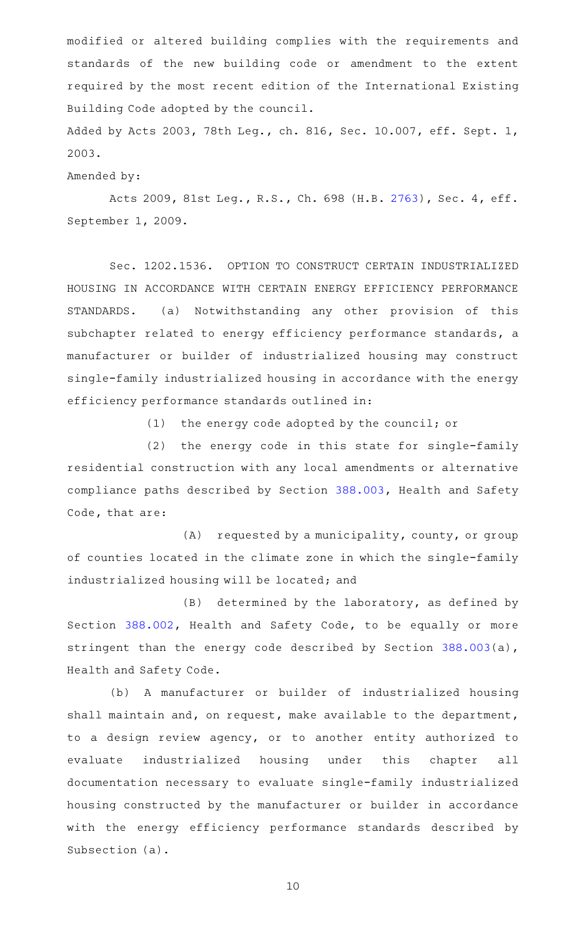modified or altered building complies with the requirements and standards of the new building code or amendment to the extent required by the most recent edition of the International Existing Building Code adopted by the council.

Added by Acts 2003, 78th Leg., ch. 816, Sec. 10.007, eff. Sept. 1, 2003.

Amended by:

Acts 2009, 81st Leg., R.S., Ch. 698 (H.B. [2763](http://www.legis.state.tx.us/tlodocs/81R/billtext/html/HB02763F.HTM)), Sec. 4, eff. September 1, 2009.

Sec. 1202.1536. OPTION TO CONSTRUCT CERTAIN INDUSTRIALIZED HOUSING IN ACCORDANCE WITH CERTAIN ENERGY EFFICIENCY PERFORMANCE STANDARDS. (a) Notwithstanding any other provision of this subchapter related to energy efficiency performance standards, a manufacturer or builder of industrialized housing may construct single-family industrialized housing in accordance with the energy efficiency performance standards outlined in:

 $(1)$  the energy code adopted by the council; or

(2) the energy code in this state for single-family residential construction with any local amendments or alternative compliance paths described by Section [388.003](http://www.statutes.legis.state.tx.us/GetStatute.aspx?Code=HS&Value=388.003), Health and Safety Code, that are:

 $(A)$  requested by a municipality, county, or group of counties located in the climate zone in which the single-family industrialized housing will be located; and

 $(B)$  determined by the laboratory, as defined by Section [388.002](http://www.statutes.legis.state.tx.us/GetStatute.aspx?Code=HS&Value=388.002), Health and Safety Code, to be equally or more stringent than the energy code described by Section [388.003\(](http://www.statutes.legis.state.tx.us/GetStatute.aspx?Code=HS&Value=388.003)a), Health and Safety Code.

(b) A manufacturer or builder of industrialized housing shall maintain and, on request, make available to the department, to a design review agency, or to another entity authorized to evaluate industrialized housing under this chapter all documentation necessary to evaluate single-family industrialized housing constructed by the manufacturer or builder in accordance with the energy efficiency performance standards described by Subsection (a).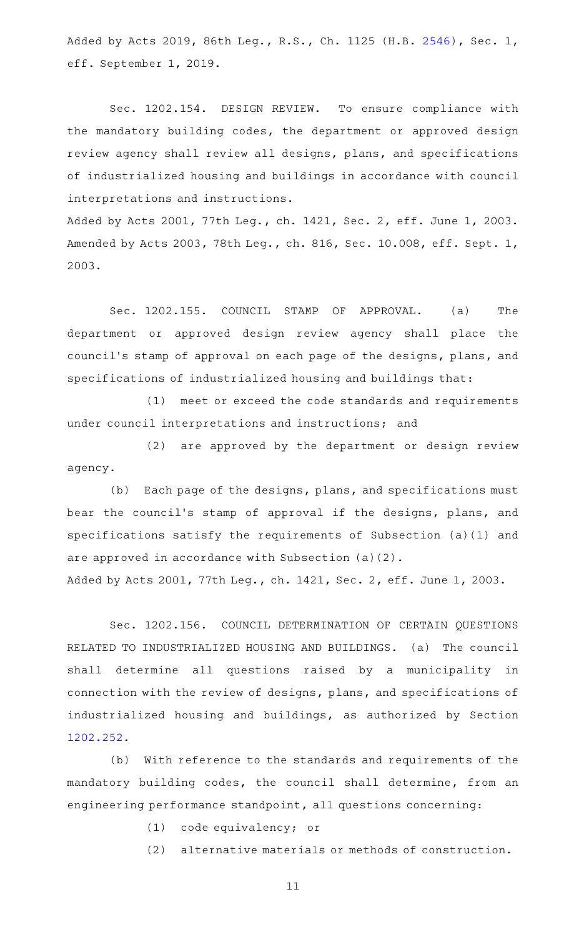Added by Acts 2019, 86th Leg., R.S., Ch. 1125 (H.B. [2546\)](http://www.legis.state.tx.us/tlodocs/86R/billtext/html/HB02546F.HTM), Sec. 1, eff. September 1, 2019.

Sec. 1202.154. DESIGN REVIEW. To ensure compliance with the mandatory building codes, the department or approved design review agency shall review all designs, plans, and specifications of industrialized housing and buildings in accordance with council interpretations and instructions.

Added by Acts 2001, 77th Leg., ch. 1421, Sec. 2, eff. June 1, 2003. Amended by Acts 2003, 78th Leg., ch. 816, Sec. 10.008, eff. Sept. 1, 2003.

Sec. 1202.155. COUNCIL STAMP OF APPROVAL. (a) The department or approved design review agency shall place the council 's stamp of approval on each page of the designs, plans, and specifications of industrialized housing and buildings that:

(1) meet or exceed the code standards and requirements under council interpretations and instructions; and

(2) are approved by the department or design review agency.

(b) Each page of the designs, plans, and specifications must bear the council 's stamp of approval if the designs, plans, and specifications satisfy the requirements of Subsection (a)(1) and are approved in accordance with Subsection (a)(2).

Added by Acts 2001, 77th Leg., ch. 1421, Sec. 2, eff. June 1, 2003.

Sec. 1202.156. COUNCIL DETERMINATION OF CERTAIN QUESTIONS RELATED TO INDUSTRIALIZED HOUSING AND BUILDINGS. (a) The council shall determine all questions raised by a municipality in connection with the review of designs, plans, and specifications of industrialized housing and buildings, as authorized by Section [1202.252](http://www.statutes.legis.state.tx.us/GetStatute.aspx?Code=OC&Value=1202.252).

(b) With reference to the standards and requirements of the mandatory building codes, the council shall determine, from an engineering performance standpoint, all questions concerning:

(1) code equivalency; or

(2) alternative materials or methods of construction.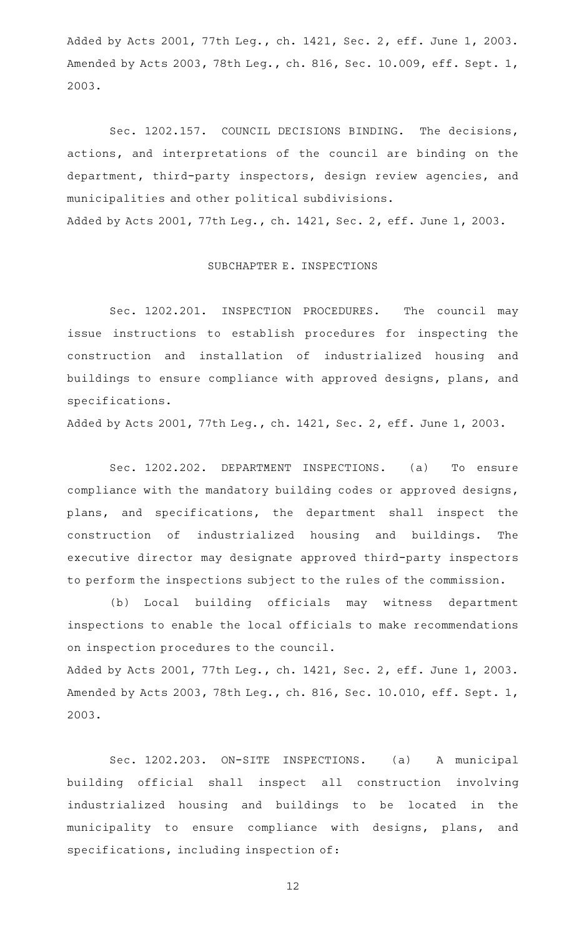Added by Acts 2001, 77th Leg., ch. 1421, Sec. 2, eff. June 1, 2003. Amended by Acts 2003, 78th Leg., ch. 816, Sec. 10.009, eff. Sept. 1, 2003.

Sec. 1202.157. COUNCIL DECISIONS BINDING. The decisions, actions, and interpretations of the council are binding on the department, third-party inspectors, design review agencies, and municipalities and other political subdivisions. Added by Acts 2001, 77th Leg., ch. 1421, Sec. 2, eff. June 1, 2003.

### SUBCHAPTER E. INSPECTIONS

Sec. 1202.201. INSPECTION PROCEDURES. The council may issue instructions to establish procedures for inspecting the construction and installation of industrialized housing and buildings to ensure compliance with approved designs, plans, and specifications.

Added by Acts 2001, 77th Leg., ch. 1421, Sec. 2, eff. June 1, 2003.

Sec. 1202.202. DEPARTMENT INSPECTIONS. (a) To ensure compliance with the mandatory building codes or approved designs, plans, and specifications, the department shall inspect the construction of industrialized housing and buildings. The executive director may designate approved third-party inspectors to perform the inspections subject to the rules of the commission.

(b) Local building officials may witness department inspections to enable the local officials to make recommendations on inspection procedures to the council.

Added by Acts 2001, 77th Leg., ch. 1421, Sec. 2, eff. June 1, 2003. Amended by Acts 2003, 78th Leg., ch. 816, Sec. 10.010, eff. Sept. 1, 2003.

Sec. 1202.203. ON-SITE INSPECTIONS. (a) A municipal building official shall inspect all construction involving industrialized housing and buildings to be located in the municipality to ensure compliance with designs, plans, and specifications, including inspection of: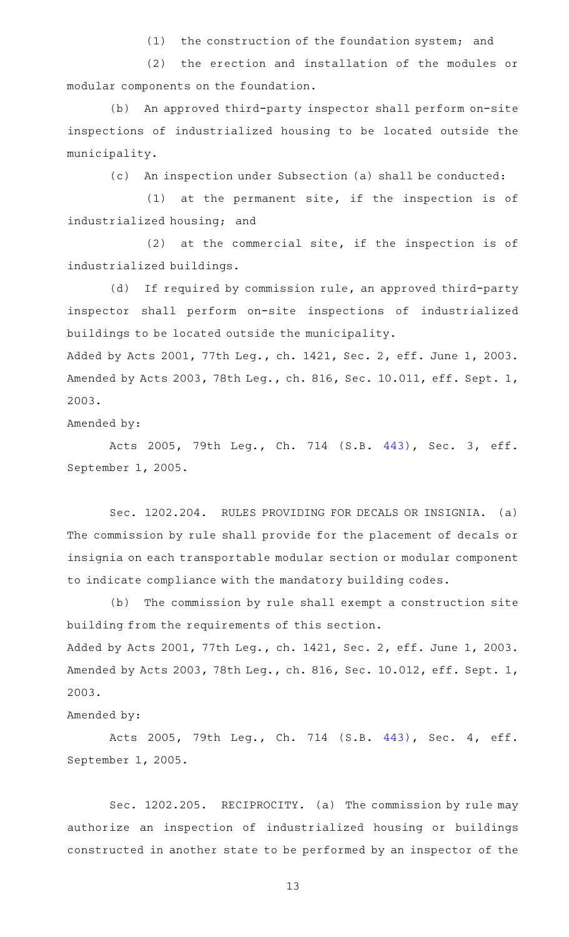(1) the construction of the foundation system; and

(2) the erection and installation of the modules or modular components on the foundation.

(b) An approved third-party inspector shall perform on-site inspections of industrialized housing to be located outside the municipality.

(c) An inspection under Subsection (a) shall be conducted:

 $(1)$  at the permanent site, if the inspection is of industrialized housing; and

 $(2)$  at the commercial site, if the inspection is of industrialized buildings.

(d) If required by commission rule, an approved third-party inspector shall perform on-site inspections of industrialized buildings to be located outside the municipality.

Added by Acts 2001, 77th Leg., ch. 1421, Sec. 2, eff. June 1, 2003. Amended by Acts 2003, 78th Leg., ch. 816, Sec. 10.011, eff. Sept. 1, 2003.

Amended by:

Acts 2005, 79th Leg., Ch. 714 (S.B. [443\)](http://www.legis.state.tx.us/tlodocs/79R/billtext/html/SB00443F.HTM), Sec. 3, eff. September 1, 2005.

Sec. 1202.204. RULES PROVIDING FOR DECALS OR INSIGNIA. (a) The commission by rule shall provide for the placement of decals or insignia on each transportable modular section or modular component to indicate compliance with the mandatory building codes.

(b) The commission by rule shall exempt a construction site building from the requirements of this section. Added by Acts 2001, 77th Leg., ch. 1421, Sec. 2, eff. June 1, 2003. Amended by Acts 2003, 78th Leg., ch. 816, Sec. 10.012, eff. Sept. 1, 2003.

Amended by:

Acts 2005, 79th Leg., Ch. 714 (S.B. [443\)](http://www.legis.state.tx.us/tlodocs/79R/billtext/html/SB00443F.HTM), Sec. 4, eff. September 1, 2005.

Sec. 1202.205. RECIPROCITY. (a) The commission by rule may authorize an inspection of industrialized housing or buildings constructed in another state to be performed by an inspector of the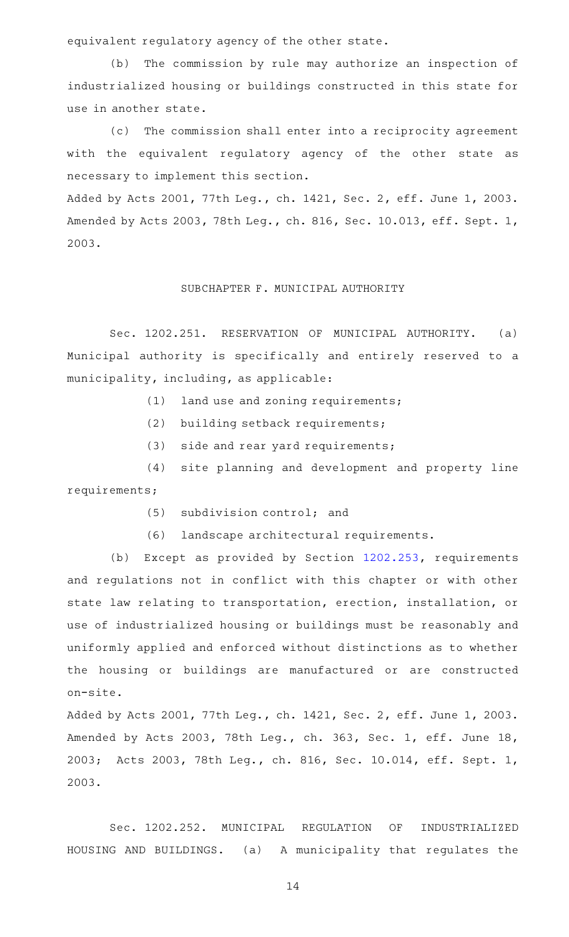equivalent regulatory agency of the other state.

(b) The commission by rule may authorize an inspection of industrialized housing or buildings constructed in this state for use in another state.

(c) The commission shall enter into a reciprocity agreement with the equivalent regulatory agency of the other state as necessary to implement this section.

Added by Acts 2001, 77th Leg., ch. 1421, Sec. 2, eff. June 1, 2003. Amended by Acts 2003, 78th Leg., ch. 816, Sec. 10.013, eff. Sept. 1, 2003.

### SUBCHAPTER F. MUNICIPAL AUTHORITY

Sec. 1202.251. RESERVATION OF MUNICIPAL AUTHORITY. (a) Municipal authority is specifically and entirely reserved to a municipality, including, as applicable:

- $(1)$  land use and zoning requirements;
- (2) building setback requirements;
- $(3)$  side and rear yard requirements;

(4) site planning and development and property line requirements;

- $(5)$  subdivision control; and
- (6) landscape architectural requirements.

(b) Except as provided by Section [1202.253,](http://www.statutes.legis.state.tx.us/GetStatute.aspx?Code=OC&Value=1202.253) requirements and regulations not in conflict with this chapter or with other state law relating to transportation, erection, installation, or use of industrialized housing or buildings must be reasonably and uniformly applied and enforced without distinctions as to whether the housing or buildings are manufactured or are constructed on-site.

Added by Acts 2001, 77th Leg., ch. 1421, Sec. 2, eff. June 1, 2003. Amended by Acts 2003, 78th Leg., ch. 363, Sec. 1, eff. June 18, 2003; Acts 2003, 78th Leg., ch. 816, Sec. 10.014, eff. Sept. 1, 2003.

Sec. 1202.252. MUNICIPAL REGULATION OF INDUSTRIALIZED HOUSING AND BUILDINGS. (a) A municipality that regulates the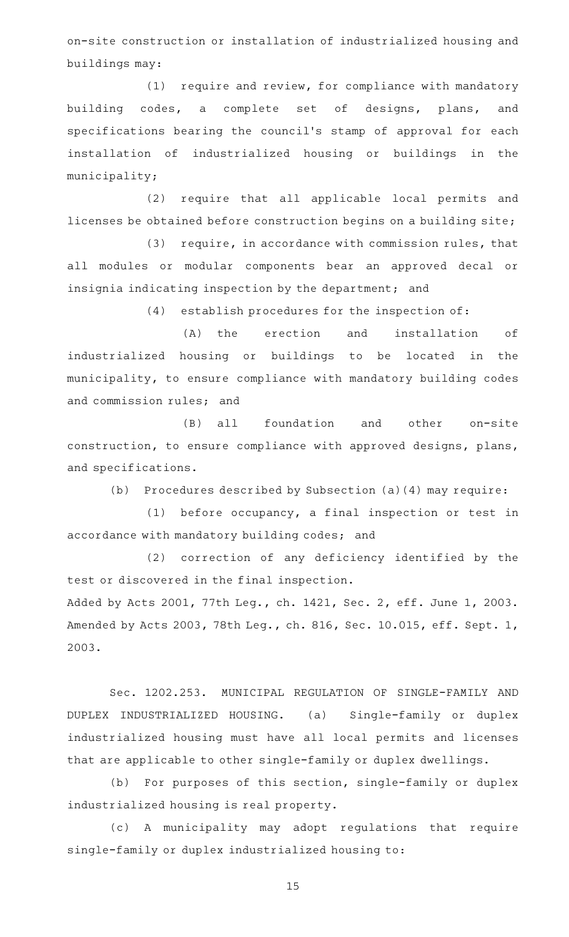on-site construction or installation of industrialized housing and buildings may:

 $(1)$  require and review, for compliance with mandatory building codes, a complete set of designs, plans, and specifications bearing the council 's stamp of approval for each installation of industrialized housing or buildings in the municipality;

(2) require that all applicable local permits and licenses be obtained before construction begins on a building site;

 $(3)$  require, in accordance with commission rules, that all modules or modular components bear an approved decal or insignia indicating inspection by the department; and

 $(4)$  establish procedures for the inspection of:

(A) the erection and installation of industrialized housing or buildings to be located in the municipality, to ensure compliance with mandatory building codes and commission rules; and

(B) all foundation and other on-site construction, to ensure compliance with approved designs, plans, and specifications.

(b) Procedures described by Subsection (a)(4) may require:

 $(1)$  before occupancy, a final inspection or test in accordance with mandatory building codes; and

(2) correction of any deficiency identified by the test or discovered in the final inspection.

Added by Acts 2001, 77th Leg., ch. 1421, Sec. 2, eff. June 1, 2003. Amended by Acts 2003, 78th Leg., ch. 816, Sec. 10.015, eff. Sept. 1, 2003.

Sec. 1202.253. MUNICIPAL REGULATION OF SINGLE-FAMILY AND DUPLEX INDUSTRIALIZED HOUSING. (a) Single-family or duplex industrialized housing must have all local permits and licenses that are applicable to other single-family or duplex dwellings.

(b) For purposes of this section, single-family or duplex industrialized housing is real property.

(c)AAA municipality may adopt regulations that require single-family or duplex industrialized housing to: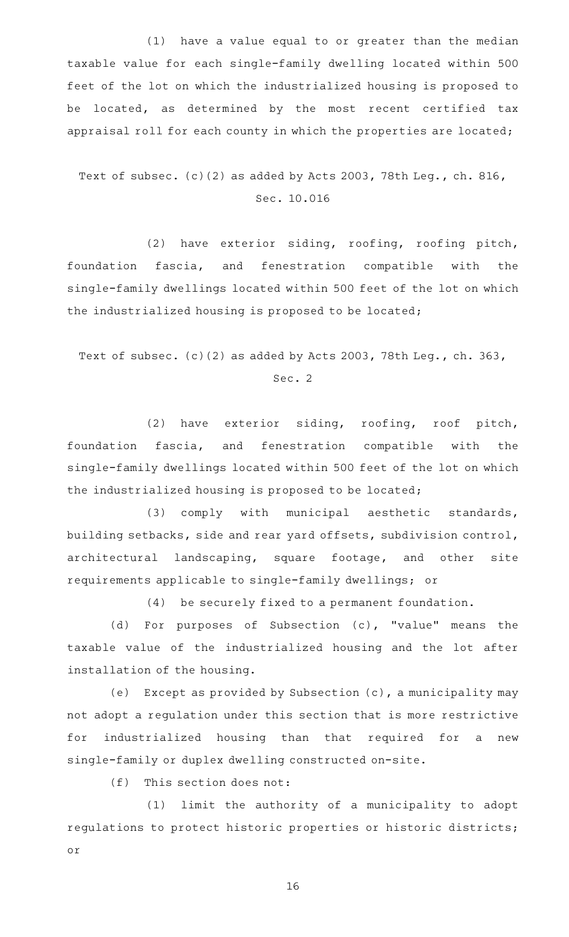$(1)$  have a value equal to or greater than the median taxable value for each single-family dwelling located within 500 feet of the lot on which the industrialized housing is proposed to be located, as determined by the most recent certified tax appraisal roll for each county in which the properties are located;

# Text of subsec. (c)(2) as added by Acts 2003, 78th Leg., ch. 816, Sec. 10.016

(2) have exterior siding, roofing, roofing pitch, foundation fascia, and fenestration compatible with the single-family dwellings located within 500 feet of the lot on which the industrialized housing is proposed to be located;

Text of subsec. (c)(2) as added by Acts 2003, 78th Leg., ch. 363,

Sec. 2

(2) have exterior siding, roofing, roof pitch, foundation fascia, and fenestration compatible with the single-family dwellings located within 500 feet of the lot on which the industrialized housing is proposed to be located;

(3) comply with municipal aesthetic standards, building setbacks, side and rear yard offsets, subdivision control, architectural landscaping, square footage, and other site requirements applicable to single-family dwellings; or

(4) be securely fixed to a permanent foundation.

(d) For purposes of Subsection (c), "value" means the taxable value of the industrialized housing and the lot after installation of the housing.

(e) Except as provided by Subsection  $(c)$ , a municipality may not adopt a regulation under this section that is more restrictive for industrialized housing than that required for a new single-family or duplex dwelling constructed on-site.

 $(f)$  This section does not:

(1) limit the authority of a municipality to adopt regulations to protect historic properties or historic districts; or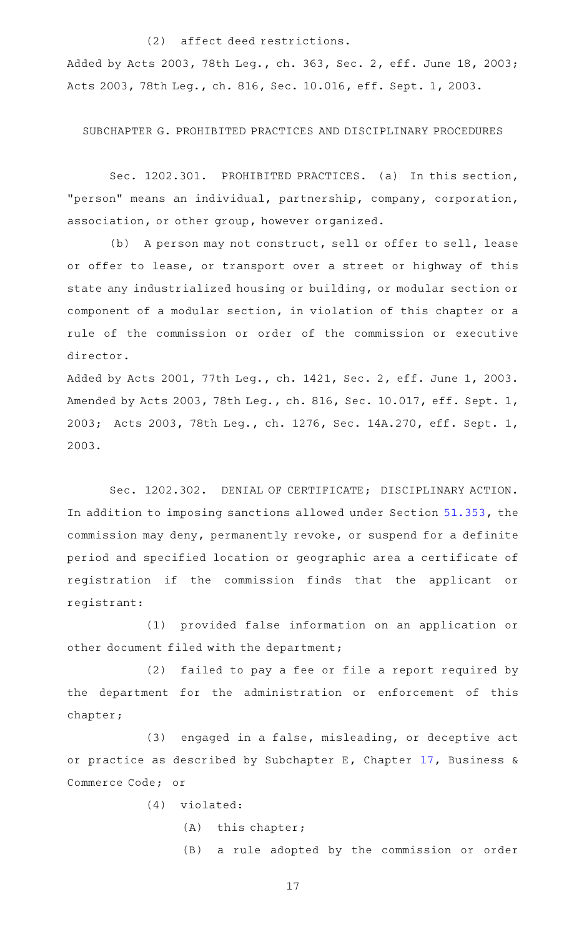### (2) affect deed restrictions.

Added by Acts 2003, 78th Leg., ch. 363, Sec. 2, eff. June 18, 2003; Acts 2003, 78th Leg., ch. 816, Sec. 10.016, eff. Sept. 1, 2003.

SUBCHAPTER G. PROHIBITED PRACTICES AND DISCIPLINARY PROCEDURES

Sec. 1202.301. PROHIBITED PRACTICES. (a) In this section, "person" means an individual, partnership, company, corporation, association, or other group, however organized.

(b) A person may not construct, sell or offer to sell, lease or offer to lease, or transport over a street or highway of this state any industrialized housing or building, or modular section or component of a modular section, in violation of this chapter or a rule of the commission or order of the commission or executive director.

Added by Acts 2001, 77th Leg., ch. 1421, Sec. 2, eff. June 1, 2003. Amended by Acts 2003, 78th Leg., ch. 816, Sec. 10.017, eff. Sept. 1, 2003; Acts 2003, 78th Leg., ch. 1276, Sec. 14A.270, eff. Sept. 1, 2003.

Sec. 1202.302. DENIAL OF CERTIFICATE; DISCIPLINARY ACTION. In addition to imposing sanctions allowed under Section [51.353](http://www.statutes.legis.state.tx.us/GetStatute.aspx?Code=OC&Value=51.353), the commission may deny, permanently revoke, or suspend for a definite period and specified location or geographic area a certificate of registration if the commission finds that the applicant or registrant:

(1) provided false information on an application or other document filed with the department;

(2) failed to pay a fee or file a report required by the department for the administration or enforcement of this chapter;

(3) engaged in a false, misleading, or deceptive act or practice as described by Subchapter E, Chapter [17,](http://www.statutes.legis.state.tx.us/GetStatute.aspx?Code=BC&Value=17) Business & Commerce Code; or

 $(4)$  violated:

- $(A)$  this chapter;
- (B) a rule adopted by the commission or order